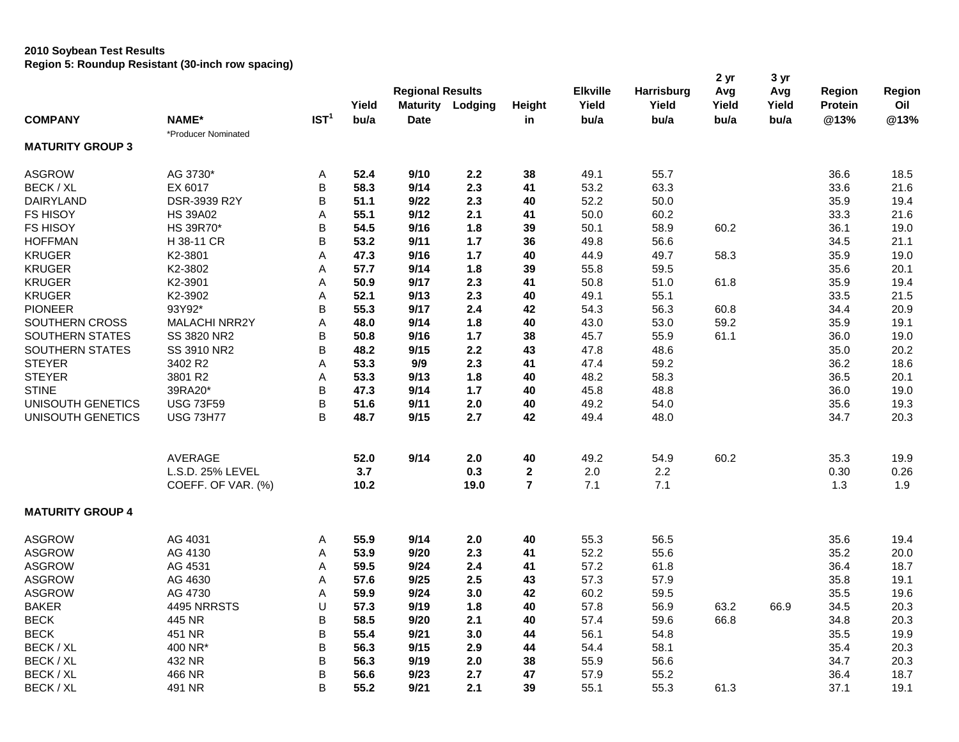## **2010 Soybean Test Results Region 5: Roundup Resistant (30-inch row spacing)**

|                          |                                        |                  | Yield       | <b>Regional Results</b><br><b>Maturity</b> | Lodging     | Height                        | <b>Elkville</b><br>Yield | <b>Harrisburg</b><br>Yield | 2 yr<br>Avg<br>Yield | 3 yr<br>Avg<br>Yield | Region<br>Protein | Region<br>Oil |
|--------------------------|----------------------------------------|------------------|-------------|--------------------------------------------|-------------|-------------------------------|--------------------------|----------------------------|----------------------|----------------------|-------------------|---------------|
| <b>COMPANY</b>           | <b>NAME*</b>                           | IST <sup>1</sup> | bu/a        | <b>Date</b>                                |             | in                            | bu/a                     | bu/a                       | bu/a                 | bu/a                 | @13%              | @13%          |
|                          | *Producer Nominated                    |                  |             |                                            |             |                               |                          |                            |                      |                      |                   |               |
| <b>MATURITY GROUP 3</b>  |                                        |                  |             |                                            |             |                               |                          |                            |                      |                      |                   |               |
| <b>ASGROW</b>            | AG 3730*                               | Α                | 52.4        | 9/10                                       | 2.2         | 38                            | 49.1                     | 55.7                       |                      |                      | 36.6              | 18.5          |
| BECK / XL                | EX 6017                                | B                | 58.3        | 9/14                                       | 2.3         | 41                            | 53.2                     | 63.3                       |                      |                      | 33.6              | 21.6          |
| <b>DAIRYLAND</b>         | <b>DSR-3939 R2Y</b>                    | B                | 51.1        | 9/22                                       | 2.3         | 40                            | 52.2                     | 50.0                       |                      |                      | 35.9              | 19.4          |
| <b>FS HISOY</b>          | <b>HS 39A02</b>                        | A                | 55.1        | 9/12                                       | 2.1         | 41                            | 50.0                     | 60.2                       |                      |                      | 33.3              | 21.6          |
| <b>FS HISOY</b>          | HS 39R70*                              | B                | 54.5        | 9/16                                       | 1.8         | 39                            | 50.1                     | 58.9                       | 60.2                 |                      | 36.1              | 19.0          |
| <b>HOFFMAN</b>           | H 38-11 CR                             | B                | 53.2        | 9/11                                       | 1.7         | 36                            | 49.8                     | 56.6                       |                      |                      | 34.5              | 21.1          |
| <b>KRUGER</b>            | K2-3801                                | A                | 47.3        | 9/16                                       | 1.7         | 40                            | 44.9                     | 49.7                       | 58.3                 |                      | 35.9              | 19.0          |
| <b>KRUGER</b>            | K2-3802                                | A                | 57.7        | 9/14                                       | 1.8         | 39                            | 55.8                     | 59.5                       |                      |                      | 35.6              | 20.1          |
| <b>KRUGER</b>            | K2-3901                                | Α                | 50.9        | 9/17                                       | 2.3         | 41                            | 50.8                     | 51.0                       | 61.8                 |                      | 35.9              | 19.4          |
| <b>KRUGER</b>            | K2-3902                                | Α                | 52.1        | 9/13                                       | 2.3         | 40                            | 49.1                     | 55.1                       |                      |                      | 33.5              | 21.5          |
| <b>PIONEER</b>           | 93Y92*                                 | B                | 55.3        | 9/17                                       | 2.4         | 42                            | 54.3                     | 56.3                       | 60.8                 |                      | 34.4              | 20.9          |
| <b>SOUTHERN CROSS</b>    | <b>MALACHI NRR2Y</b>                   | A                | 48.0        | 9/14                                       | 1.8         | 40                            | 43.0                     | 53.0                       | 59.2                 |                      | 35.9              | 19.1          |
| SOUTHERN STATES          | SS 3820 NR2                            | B                | 50.8        | 9/16                                       | 1.7         | 38                            | 45.7                     | 55.9                       | 61.1                 |                      | 36.0              | 19.0          |
| SOUTHERN STATES          | SS 3910 NR2                            | B                | 48.2        | 9/15                                       | 2.2         | 43                            | 47.8                     | 48.6                       |                      |                      | 35.0              | 20.2          |
| <b>STEYER</b>            | 3402 R2                                | A                | 53.3        | 9/9                                        | 2.3         | 41                            | 47.4                     | 59.2                       |                      |                      | 36.2              | 18.6          |
| <b>STEYER</b>            | 3801 R2                                | Α                | 53.3        | 9/13                                       | 1.8         | 40                            | 48.2                     | 58.3                       |                      |                      | 36.5              | 20.1          |
| <b>STINE</b>             | 39RA20*                                | B                | 47.3        | 9/14                                       | 1.7         | 40                            | 45.8                     | 48.8                       |                      |                      | 36.0              | 19.0          |
| UNISOUTH GENETICS        | <b>USG 73F59</b>                       | B                | 51.6        | 9/11                                       | 2.0         | 40                            | 49.2                     | 54.0                       |                      |                      | 35.6              | 19.3          |
| <b>UNISOUTH GENETICS</b> | <b>USG 73H77</b>                       | B                | 48.7        | 9/15                                       | 2.7         | 42                            | 49.4                     | 48.0                       |                      |                      | 34.7              | 20.3          |
|                          | <b>AVERAGE</b>                         |                  |             | 9/14                                       |             |                               |                          |                            |                      |                      |                   |               |
|                          |                                        |                  | 52.0        |                                            | 2.0         | 40                            | 49.2                     | 54.9                       | 60.2                 |                      | 35.3              | 19.9          |
|                          | L.S.D. 25% LEVEL<br>COEFF. OF VAR. (%) |                  | 3.7<br>10.2 |                                            | 0.3<br>19.0 | $\mathbf 2$<br>$\overline{7}$ | 2.0<br>7.1               | 2.2<br>7.1                 |                      |                      | 0.30<br>1.3       | 0.26<br>1.9   |
|                          |                                        |                  |             |                                            |             |                               |                          |                            |                      |                      |                   |               |
| <b>MATURITY GROUP 4</b>  |                                        |                  |             |                                            |             |                               |                          |                            |                      |                      |                   |               |
| <b>ASGROW</b>            | AG 4031                                | Α                | 55.9        | 9/14                                       | 2.0         | 40                            | 55.3                     | 56.5                       |                      |                      | 35.6              | 19.4          |
| <b>ASGROW</b>            | AG 4130                                | A                | 53.9        | 9/20                                       | 2.3         | 41                            | 52.2                     | 55.6                       |                      |                      | 35.2              | 20.0          |
| <b>ASGROW</b>            | AG 4531                                | Α                | 59.5        | 9/24                                       | 2.4         | 41                            | 57.2                     | 61.8                       |                      |                      | 36.4              | 18.7          |
| <b>ASGROW</b>            | AG 4630                                | A                | 57.6        | 9/25                                       | 2.5         | 43                            | 57.3                     | 57.9                       |                      |                      | 35.8              | 19.1          |
| <b>ASGROW</b>            | AG 4730                                | Α                | 59.9        | 9/24                                       | 3.0         | 42                            | 60.2                     | 59.5                       |                      |                      | 35.5              | 19.6          |
| <b>BAKER</b>             | 4495 NRRSTS                            | U                | 57.3        | 9/19                                       | 1.8         | 40                            | 57.8                     | 56.9                       | 63.2                 | 66.9                 | 34.5              | 20.3          |
| <b>BECK</b>              | 445 NR                                 | B                | 58.5        | 9/20                                       | 2.1         | 40                            | 57.4                     | 59.6                       | 66.8                 |                      | 34.8              | 20.3          |
| <b>BECK</b>              | 451 NR                                 | B                | 55.4        | 9/21                                       | 3.0         | 44                            | 56.1                     | 54.8                       |                      |                      | 35.5              | 19.9          |
| BECK / XL                | 400 NR*                                | B                | 56.3        | 9/15                                       | 2.9         | 44                            | 54.4                     | 58.1                       |                      |                      | 35.4              | 20.3          |
| BECK / XL                | 432 NR                                 | B                | 56.3        | 9/19                                       | 2.0         | 38                            | 55.9                     | 56.6                       |                      |                      | 34.7              | 20.3          |
| BECK / XL                | 466 NR                                 | B                | 56.6        | 9/23                                       | 2.7         | 47                            | 57.9                     | 55.2                       |                      |                      | 36.4              | 18.7          |
| BECK / XL                | 491 NR                                 | B                | 55.2        | 9/21                                       | 2.1         | 39                            | 55.1                     | 55.3                       | 61.3                 |                      | 37.1              | 19.1          |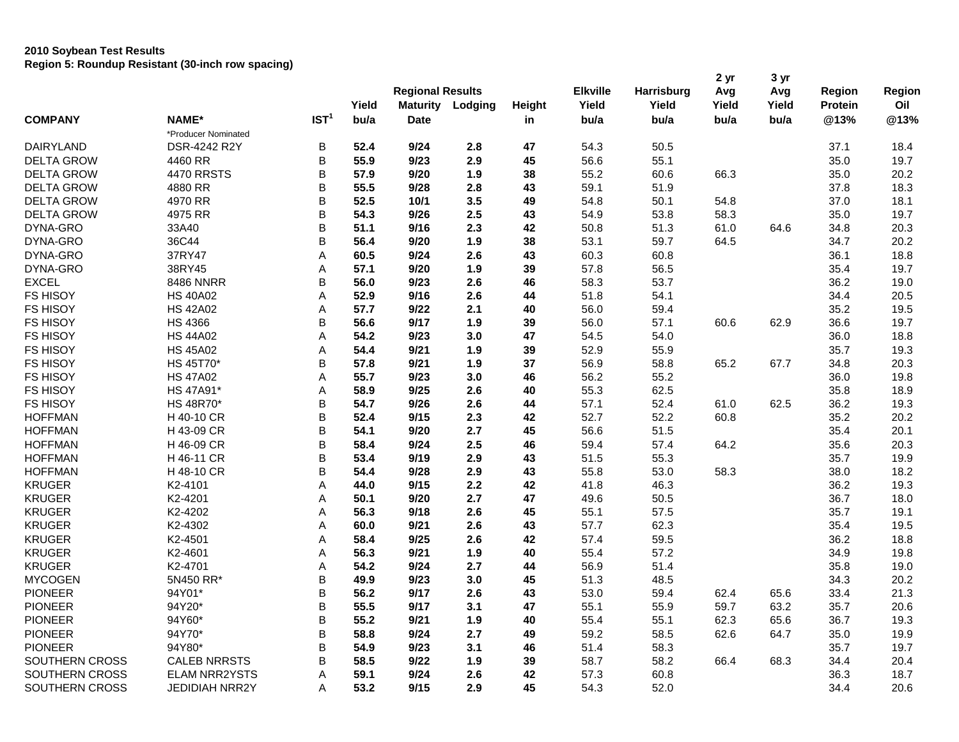## **2010 Soybean Test Results Region 5: Roundup Resistant (30-inch row spacing)**

|                   |                      |                  |       | <b>Regional Results</b> |         |        | <b>Elkville</b> | <b>Harrisburg</b> | 2 <sub>yr</sub><br>Avg | 3 yr<br>Avg | Region         | Region |
|-------------------|----------------------|------------------|-------|-------------------------|---------|--------|-----------------|-------------------|------------------------|-------------|----------------|--------|
|                   |                      |                  | Yield | <b>Maturity</b>         | Lodging | Height | Yield           | Yield             | Yield                  | Yield       | <b>Protein</b> | Oil    |
| <b>COMPANY</b>    | NAME*                | IST <sup>1</sup> | bu/a  | <b>Date</b>             |         | in     | bu/a            | bu/a              | bu/a                   | bu/a        | @13%           | @13%   |
|                   | *Producer Nominated  |                  |       |                         |         |        |                 |                   |                        |             |                |        |
| DAIRYLAND         | DSR-4242 R2Y         | B                | 52.4  | 9/24                    | 2.8     | 47     | 54.3            | 50.5              |                        |             | 37.1           | 18.4   |
| <b>DELTA GROW</b> | 4460 RR              | B                | 55.9  | 9/23                    | 2.9     | 45     | 56.6            | 55.1              |                        |             | 35.0           | 19.7   |
| <b>DELTA GROW</b> | <b>4470 RRSTS</b>    | B                | 57.9  | 9/20                    | 1.9     | 38     | 55.2            | 60.6              | 66.3                   |             | 35.0           | 20.2   |
| <b>DELTA GROW</b> | 4880 RR              | B                | 55.5  | 9/28                    | 2.8     | 43     | 59.1            | 51.9              |                        |             | 37.8           | 18.3   |
| <b>DELTA GROW</b> | 4970 RR              | B                | 52.5  | 10/1                    | 3.5     | 49     | 54.8            | 50.1              | 54.8                   |             | 37.0           | 18.1   |
| <b>DELTA GROW</b> | 4975 RR              | B                | 54.3  | 9/26                    | 2.5     | 43     | 54.9            | 53.8              | 58.3                   |             | 35.0           | 19.7   |
| DYNA-GRO          | 33A40                | B                | 51.1  | 9/16                    | 2.3     | 42     | 50.8            | 51.3              | 61.0                   | 64.6        | 34.8           | 20.3   |
| DYNA-GRO          | 36C44                | B                | 56.4  | 9/20                    | 1.9     | 38     | 53.1            | 59.7              | 64.5                   |             | 34.7           | 20.2   |
| DYNA-GRO          | 37RY47               | A                | 60.5  | 9/24                    | 2.6     | 43     | 60.3            | 60.8              |                        |             | 36.1           | 18.8   |
| DYNA-GRO          | 38RY45               | A                | 57.1  | 9/20                    | 1.9     | 39     | 57.8            | 56.5              |                        |             | 35.4           | 19.7   |
| <b>EXCEL</b>      | <b>8486 NNRR</b>     | B                | 56.0  | 9/23                    | 2.6     | 46     | 58.3            | 53.7              |                        |             | 36.2           | 19.0   |
| <b>FS HISOY</b>   | <b>HS 40A02</b>      | A                | 52.9  | 9/16                    | 2.6     | 44     | 51.8            | 54.1              |                        |             | 34.4           | 20.5   |
| <b>FS HISOY</b>   | <b>HS 42A02</b>      | Α                | 57.7  | 9/22                    | 2.1     | 40     | 56.0            | 59.4              |                        |             | 35.2           | 19.5   |
| <b>FS HISOY</b>   | <b>HS 4366</b>       | B                | 56.6  | 9/17                    | 1.9     | 39     | 56.0            | 57.1              | 60.6                   | 62.9        | 36.6           | 19.7   |
| FS HISOY          | <b>HS 44A02</b>      | A                | 54.2  | 9/23                    | 3.0     | 47     | 54.5            | 54.0              |                        |             | 36.0           | 18.8   |
| FS HISOY          | <b>HS 45A02</b>      | A                | 54.4  | 9/21                    | 1.9     | 39     | 52.9            | 55.9              |                        |             | 35.7           | 19.3   |
| <b>FS HISOY</b>   | HS 45T70*            | B                | 57.8  | 9/21                    | 1.9     | 37     | 56.9            | 58.8              | 65.2                   | 67.7        | 34.8           | 20.3   |
| <b>FS HISOY</b>   | <b>HS 47A02</b>      | A                | 55.7  | 9/23                    | 3.0     | 46     | 56.2            | 55.2              |                        |             | 36.0           | 19.8   |
| FS HISOY          | HS 47A91*            | Α                | 58.9  | 9/25                    | 2.6     | 40     | 55.3            | 62.5              |                        |             | 35.8           | 18.9   |
| FS HISOY          | HS 48R70*            | B                | 54.7  | 9/26                    | 2.6     | 44     | 57.1            | 52.4              | 61.0                   | 62.5        | 36.2           | 19.3   |
| <b>HOFFMAN</b>    | H 40-10 CR           | B                | 52.4  | 9/15                    | 2.3     | 42     | 52.7            | 52.2              | 60.8                   |             | 35.2           | 20.2   |
| <b>HOFFMAN</b>    | H 43-09 CR           | B                | 54.1  | 9/20                    | 2.7     | 45     | 56.6            | 51.5              |                        |             | 35.4           | 20.1   |
| <b>HOFFMAN</b>    | H 46-09 CR           | B                | 58.4  | 9/24                    | 2.5     | 46     | 59.4            | 57.4              | 64.2                   |             | 35.6           | 20.3   |
| <b>HOFFMAN</b>    | H 46-11 CR           | B                | 53.4  | 9/19                    | 2.9     | 43     | 51.5            | 55.3              |                        |             | 35.7           | 19.9   |
| <b>HOFFMAN</b>    | H 48-10 CR           | B                | 54.4  | 9/28                    | 2.9     | 43     | 55.8            | 53.0              | 58.3                   |             | 38.0           | 18.2   |
| <b>KRUGER</b>     | K2-4101              | A                | 44.0  | 9/15                    | 2.2     | 42     | 41.8            | 46.3              |                        |             | 36.2           | 19.3   |
| <b>KRUGER</b>     | K2-4201              | Α                | 50.1  | 9/20                    | 2.7     | 47     | 49.6            | 50.5              |                        |             | 36.7           | 18.0   |
| <b>KRUGER</b>     | K2-4202              | A                | 56.3  | 9/18                    | 2.6     | 45     | 55.1            | 57.5              |                        |             | 35.7           | 19.1   |
| <b>KRUGER</b>     | K2-4302              | Α                | 60.0  | 9/21                    | 2.6     | 43     | 57.7            | 62.3              |                        |             | 35.4           | 19.5   |
| <b>KRUGER</b>     | K2-4501              | A                | 58.4  | 9/25                    | 2.6     | 42     | 57.4            | 59.5              |                        |             | 36.2           | 18.8   |
| <b>KRUGER</b>     | K2-4601              | Α                | 56.3  | 9/21                    | 1.9     | 40     | 55.4            | 57.2              |                        |             | 34.9           | 19.8   |
| <b>KRUGER</b>     | K2-4701              | A                | 54.2  | 9/24                    | 2.7     | 44     | 56.9            | 51.4              |                        |             | 35.8           | 19.0   |
| <b>MYCOGEN</b>    | 5N450 RR*            | B                | 49.9  | 9/23                    | 3.0     | 45     | 51.3            | 48.5              |                        |             | 34.3           | 20.2   |
| <b>PIONEER</b>    | 94Y01*               | B                | 56.2  | 9/17                    | 2.6     | 43     | 53.0            | 59.4              | 62.4                   | 65.6        | 33.4           | 21.3   |
| <b>PIONEER</b>    | 94Y20*               | B                | 55.5  | 9/17                    | 3.1     | 47     | 55.1            | 55.9              | 59.7                   | 63.2        | 35.7           | 20.6   |
| <b>PIONEER</b>    | 94Y60*               | B                | 55.2  | 9/21                    | 1.9     | 40     | 55.4            | 55.1              | 62.3                   | 65.6        | 36.7           | 19.3   |
| <b>PIONEER</b>    | 94Y70*               | B                | 58.8  | 9/24                    | 2.7     | 49     | 59.2            | 58.5              | 62.6                   | 64.7        | 35.0           | 19.9   |
| <b>PIONEER</b>    | 94Y80*               | B                | 54.9  | 9/23                    | 3.1     | 46     | 51.4            | 58.3              |                        |             | 35.7           | 19.7   |
| SOUTHERN CROSS    | <b>CALEB NRRSTS</b>  | B                | 58.5  | 9/22                    | 1.9     | 39     | 58.7            | 58.2              | 66.4                   | 68.3        | 34.4           | 20.4   |
| SOUTHERN CROSS    | <b>ELAM NRR2YSTS</b> | A                | 59.1  | 9/24                    | 2.6     | 42     | 57.3            | 60.8              |                        |             | 36.3           | 18.7   |
| SOUTHERN CROSS    | JEDIDIAH NRR2Y       | A                | 53.2  | 9/15                    | 2.9     | 45     | 54.3            | 52.0              |                        |             | 34.4           | 20.6   |